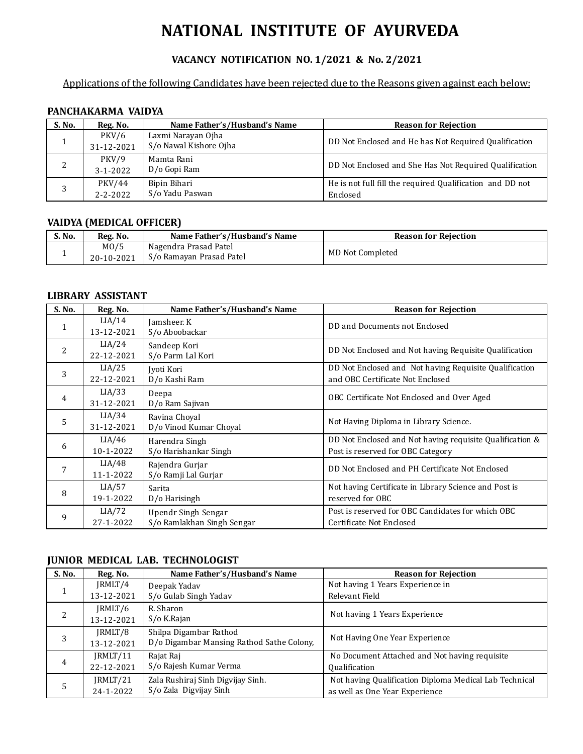# **NATIONAL INSTITUTE OF AYURVEDA**

# **VACANCY NOTIFICATION NO. 1/2021 & No. 2/2021**

## Applications of the following Candidates have been rejected due to the Reasons given against each below:

### **PANCHAKARMA VAIDYA**

| S. No. | Reg. No.                 | Name Father's/Husband's Name                 | <b>Reason for Rejection</b>                                           |
|--------|--------------------------|----------------------------------------------|-----------------------------------------------------------------------|
|        | PKV/6<br>31-12-2021      | Laxmi Narayan Ojha<br>S/o Nawal Kishore Ojha | DD Not Enclosed and He has Not Required Qualification                 |
|        | PKV/9<br>$3 - 1 - 2022$  | Mamta Rani<br>D/o Gopi Ram                   | DD Not Enclosed and She Has Not Required Qualification                |
|        | PKV/44<br>$2 - 2 - 2022$ | Bipin Bihari<br>S/o Yadu Paswan              | He is not full fill the required Qualification and DD not<br>Enclosed |

## **VAIDYA (MEDICAL OFFICER)**

| S. No. | Reg. No.                        | Name Father's/Husband's Name                      | <b>Reason for Rejection</b> |
|--------|---------------------------------|---------------------------------------------------|-----------------------------|
|        | M <sub>0</sub> /5<br>20-10-2021 | Nagendra Prasad Patel<br>S/o Ramayan Prasad Patel | MD Not Completed            |

#### **LIBRARY ASSISTANT**

| S. No.       | Reg. No.             | Name Father's/Husband's Name                      | <b>Reason for Rejection</b>                                                                   |
|--------------|----------------------|---------------------------------------------------|-----------------------------------------------------------------------------------------------|
| $\mathbf{1}$ | LIA/14<br>13-12-2021 | Jamsheer. K<br>S/o Aboobackar                     | DD and Documents not Enclosed                                                                 |
| 2            | LIA/24<br>22-12-2021 | Sandeep Kori<br>S/o Parm Lal Kori                 | DD Not Enclosed and Not having Requisite Qualification                                        |
| 3            | LIA/25<br>22-12-2021 | Jyoti Kori<br>D/o Kashi Ram                       | DD Not Enclosed and Not having Requisite Qualification<br>and OBC Certificate Not Enclosed    |
| 4            | LIA/33<br>31-12-2021 | Deepa<br>D/o Ram Sajivan                          | OBC Certificate Not Enclosed and Over Aged                                                    |
| 5            | LIA/34<br>31-12-2021 | Ravina Choyal<br>D/o Vinod Kumar Choyal           | Not Having Diploma in Library Science.                                                        |
| 6            | LIA/46<br>10-1-2022  | Harendra Singh<br>S/o Harishankar Singh           | DD Not Enclosed and Not having requisite Qualification &<br>Post is reserved for OBC Category |
|              | LIA/48<br>11-1-2022  | Rajendra Gurjar<br>S/o Ramji Lal Gurjar           | DD Not Enclosed and PH Certificate Not Enclosed                                               |
| 8            | LIA/57<br>19-1-2022  | Sarita<br>D/o Harisingh                           | Not having Certificate in Library Science and Post is<br>reserved for OBC                     |
| 9            | LIA/72<br>27-1-2022  | Upendr Singh Sengar<br>S/o Ramlakhan Singh Sengar | Post is reserved for OBC Candidates for which OBC<br>Certificate Not Enclosed                 |

#### **JUNIOR MEDICAL LAB. TECHNOLOGIST**

| S. No. | Reg. No.   | Name Father's/Husband's Name              | <b>Reason for Rejection</b>                            |
|--------|------------|-------------------------------------------|--------------------------------------------------------|
|        | JRMLT/4    | Deepak Yadav                              | Not having 1 Years Experience in                       |
|        | 13-12-2021 | S/o Gulab Singh Yadav                     | Relevant Field                                         |
|        | IRMLT/6    | R. Sharon                                 | Not having 1 Years Experience                          |
| 2      | 13-12-2021 | S/o K.Rajan                               |                                                        |
|        | JRMLT/8    | Shilpa Digambar Rathod                    | Not Having One Year Experience                         |
| 3      | 13-12-2021 | D/o Digambar Mansing Rathod Sathe Colony, |                                                        |
|        | JRMLT/11   | Rajat Raj                                 | No Document Attached and Not having requisite          |
| 4      | 22-12-2021 | S/o Rajesh Kumar Verma                    | <b>Qualification</b>                                   |
|        | JRMLT/21   | Zala Rushiraj Sinh Digvijay Sinh.         | Not having Qualification Diploma Medical Lab Technical |
| 5      | 24-1-2022  | S/o Zala Digvijay Sinh                    | as well as One Year Experience                         |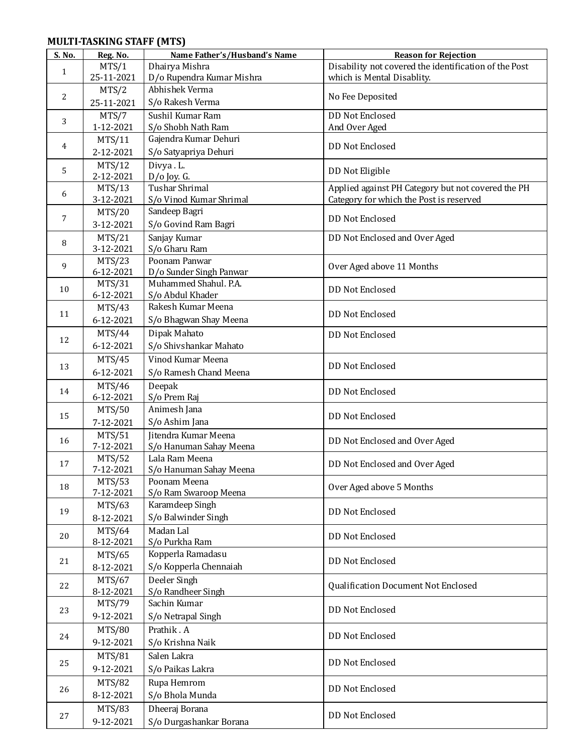## **MULTI-TASKING STAFF (MTS)**

| S. No.       | Reg. No.                   | Name Father's/Husband's Name            | <b>Reason for Rejection</b>                           |
|--------------|----------------------------|-----------------------------------------|-------------------------------------------------------|
| $\mathbf{1}$ | MTS/1                      | Dhairya Mishra                          | Disability not covered the identification of the Post |
|              | 25-11-2021                 | D/o Rupendra Kumar Mishra               | which is Mental Disablity.                            |
|              | MTS/2                      | Abhishek Verma                          |                                                       |
| 2            | 25-11-2021                 | S/o Rakesh Verma                        | No Fee Deposited                                      |
|              | MTS/7                      | Sushil Kumar Ram                        | <b>DD Not Enclosed</b>                                |
| 3            | 1-12-2021                  | S/o Shobh Nath Ram                      | And Over Aged                                         |
| 4            | <b>MTS/11</b>              | Gajendra Kumar Dehuri                   | <b>DD Not Enclosed</b>                                |
|              | 2-12-2021                  | S/o Satyapriya Dehuri                   |                                                       |
| 5            | MTS/12                     | Divya.L.                                | DD Not Eligible                                       |
|              | 2-12-2021                  | $D/O$ Joy. G.                           |                                                       |
| 6            | MTS/13                     | <b>Tushar Shrimal</b>                   | Applied against PH Category but not covered the PH    |
|              | 3-12-2021                  | S/o Vinod Kumar Shrimal                 | Category for which the Post is reserved               |
| 7            | <b>MTS/20</b>              | Sandeep Bagri                           | <b>DD Not Enclosed</b>                                |
|              | 3-12-2021                  | S/o Govind Ram Bagri                    |                                                       |
| 8            | MTS/21                     | Sanjay Kumar                            | DD Not Enclosed and Over Aged                         |
|              | 3-12-2021                  | S/o Gharu Ram<br>Poonam Panwar          |                                                       |
| 9            | MTS/23<br>6-12-2021        | D/o Sunder Singh Panwar                 | Over Aged above 11 Months                             |
|              | MTS/31                     | Muhammed Shahul. P.A.                   |                                                       |
| 10           | 6-12-2021                  | S/o Abdul Khader                        | <b>DD Not Enclosed</b>                                |
|              | MTS/43                     | Rakesh Kumar Meena                      |                                                       |
| 11           | 6-12-2021                  | S/o Bhagwan Shay Meena                  | <b>DD Not Enclosed</b>                                |
|              | MTS/44                     | Dipak Mahato                            | <b>DD Not Enclosed</b>                                |
| 12           | 6-12-2021                  | S/o Shivshankar Mahato                  |                                                       |
|              | MTS/45                     | Vinod Kumar Meena                       |                                                       |
| 13           | 6-12-2021                  | S/o Ramesh Chand Meena                  | <b>DD Not Enclosed</b>                                |
|              | MTS/46                     | Deepak                                  |                                                       |
| 14           | 6-12-2021                  | S/o Prem Raj                            | <b>DD Not Enclosed</b>                                |
|              | MTS/50                     | Animesh Jana                            |                                                       |
| 15           | 7-12-2021                  | S/o Ashim Jana                          | <b>DD Not Enclosed</b>                                |
| 16           | MTS/51                     | Jitendra Kumar Meena                    | DD Not Enclosed and Over Aged                         |
|              | 7-12-2021                  | S/o Hanuman Sahay Meena                 |                                                       |
| 17           | <b>MTS/52</b>              | Lala Ram Meena                          | DD Not Enclosed and Over Aged                         |
|              | 7-12-2021                  | S/o Hanuman Sahay Meena<br>Poonam Meena |                                                       |
| 18           | <b>MTS/53</b><br>7-12-2021 | S/o Ram Swaroop Meena                   | Over Aged above 5 Months                              |
|              | MTS/63                     | Karamdeep Singh                         |                                                       |
| 19           | 8-12-2021                  | S/o Balwinder Singh                     | <b>DD Not Enclosed</b>                                |
|              | MTS/64                     | Madan Lal                               |                                                       |
| 20           | 8-12-2021                  | S/o Purkha Ram                          | <b>DD Not Enclosed</b>                                |
|              | MTS/65                     | Kopperla Ramadasu                       |                                                       |
| 21           | 8-12-2021                  | S/o Kopperla Chennaiah                  | <b>DD Not Enclosed</b>                                |
|              | MTS/67                     | Deeler Singh                            |                                                       |
| 22           | 8-12-2021                  | S/o Randheer Singh                      | Qualification Document Not Enclosed                   |
| 23           | MTS/79                     | Sachin Kumar                            | <b>DD Not Enclosed</b>                                |
|              | 9-12-2021                  | S/o Netrapal Singh                      |                                                       |
| 24           | <b>MTS/80</b>              | Prathik. A                              | <b>DD Not Enclosed</b>                                |
|              | 9-12-2021                  | S/o Krishna Naik                        |                                                       |
|              | <b>MTS/81</b>              | Salen Lakra                             |                                                       |
| 25           | 9-12-2021                  | S/o Paikas Lakra                        | <b>DD Not Enclosed</b>                                |
|              | <b>MTS/82</b>              | Rupa Hemrom                             |                                                       |
| 26           | 8-12-2021                  | S/o Bhola Munda                         | DD Not Enclosed                                       |
|              | MTS/83                     | Dheeraj Borana                          |                                                       |
| 27           | 9-12-2021                  | S/o Durgashankar Borana                 | <b>DD Not Enclosed</b>                                |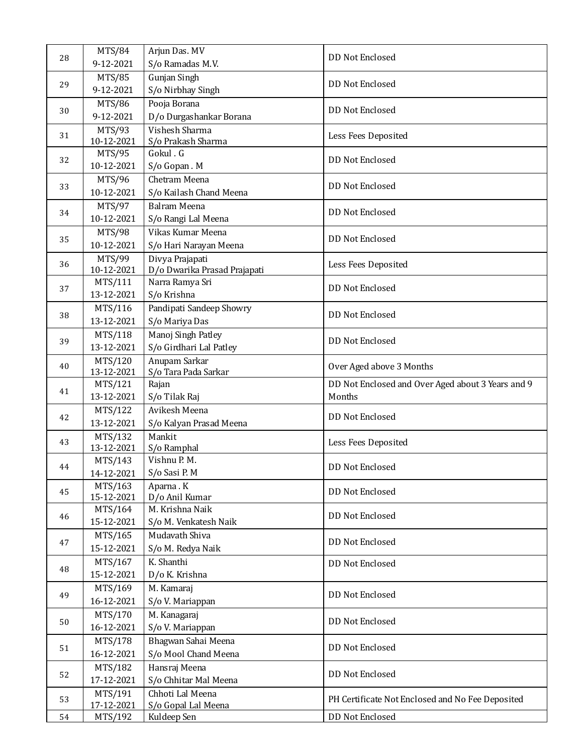|    | <b>MTS/84</b>         | Arjun Das. MV                |                                                   |
|----|-----------------------|------------------------------|---------------------------------------------------|
| 28 | 9-12-2021             | S/o Ramadas M.V.             | DD Not Enclosed                                   |
|    | <b>MTS/85</b>         | Gunjan Singh                 |                                                   |
| 29 | 9-12-2021             | S/o Nirbhay Singh            | <b>DD Not Enclosed</b>                            |
|    | MTS/86                | Pooja Borana                 |                                                   |
| 30 | 9-12-2021             | D/o Durgashankar Borana      | <b>DD Not Enclosed</b>                            |
|    | MTS/93                | Vishesh Sharma               |                                                   |
| 31 | 10-12-2021            | S/o Prakash Sharma           | Less Fees Deposited                               |
| 32 | MTS/95                | Gokul . G                    | <b>DD Not Enclosed</b>                            |
|    | 10-12-2021            | S/o Gopan. M                 |                                                   |
| 33 | MTS/96                | Chetram Meena                | <b>DD Not Enclosed</b>                            |
|    | 10-12-2021            | S/o Kailash Chand Meena      |                                                   |
|    | MTS/97                | Balram Meena                 |                                                   |
| 34 | 10-12-2021            | S/o Rangi Lal Meena          | DD Not Enclosed                                   |
|    | MTS/98                | Vikas Kumar Meena            |                                                   |
| 35 | 10-12-2021            | S/o Hari Narayan Meena       | <b>DD Not Enclosed</b>                            |
| 36 | MTS/99                | Divya Prajapati              | Less Fees Deposited                               |
|    | 10-12-2021            | D/o Dwarika Prasad Prajapati |                                                   |
| 37 | MTS/111               | Narra Ramya Sri              | DD Not Enclosed                                   |
|    | 13-12-2021            | S/o Krishna                  |                                                   |
| 38 | MTS/116               | Pandipati Sandeep Showry     | <b>DD Not Enclosed</b>                            |
|    | 13-12-2021            | S/o Mariya Das               |                                                   |
| 39 | MTS/118               | Manoj Singh Patley           | <b>DD Not Enclosed</b>                            |
|    | 13-12-2021            | S/o Girdhari Lal Patley      |                                                   |
| 40 | MTS/120               | Anupam Sarkar                | Over Aged above 3 Months                          |
|    | 13-12-2021            | S/o Tara Pada Sarkar         |                                                   |
| 41 | MTS/121               | Rajan                        | DD Not Enclosed and Over Aged about 3 Years and 9 |
|    | 13-12-2021            | S/o Tilak Raj                | Months                                            |
| 42 | MTS/122               | Avikesh Meena                | <b>DD Not Enclosed</b>                            |
|    | 13-12-2021            | S/o Kalyan Prasad Meena      |                                                   |
| 43 | MTS/132<br>13-12-2021 | Mankit<br>S/o Ramphal        | Less Fees Deposited                               |
|    | MTS/143               | Vishnu P. M.                 |                                                   |
| 44 | 14-12-2021            | S/o Sasi P. M                | DD Not Enclosed                                   |
|    | MTS/163               | Aparna . K                   |                                                   |
| 45 | 15-12-2021            | D/o Anil Kumar               | DD Not Enclosed                                   |
|    | MTS/164               | M. Krishna Naik              |                                                   |
| 46 | 15-12-2021            | S/o M. Venkatesh Naik        | DD Not Enclosed                                   |
|    | MTS/165               | Mudavath Shiva               |                                                   |
| 47 | 15-12-2021            | S/o M. Redya Naik            | DD Not Enclosed                                   |
|    | MTS/167               | K. Shanthi                   | DD Not Enclosed                                   |
| 48 | 15-12-2021            | D/o K. Krishna               |                                                   |
|    | MTS/169               | M. Kamaraj                   |                                                   |
| 49 | 16-12-2021            | S/o V. Mariappan             | DD Not Enclosed                                   |
|    | MTS/170               | M. Kanagaraj                 |                                                   |
| 50 | 16-12-2021            | S/o V. Mariappan             | DD Not Enclosed                                   |
|    | MTS/178               | Bhagwan Sahai Meena          |                                                   |
| 51 | 16-12-2021            | S/o Mool Chand Meena         | DD Not Enclosed                                   |
|    | MTS/182               | Hansraj Meena                |                                                   |
| 52 | 17-12-2021            | S/o Chhitar Mal Meena        | DD Not Enclosed                                   |
| 53 | MTS/191               | Chhoti Lal Meena             |                                                   |
|    | 17-12-2021            | S/o Gopal Lal Meena          | PH Certificate Not Enclosed and No Fee Deposited  |
| 54 | MTS/192               | Kuldeep Sen                  | DD Not Enclosed                                   |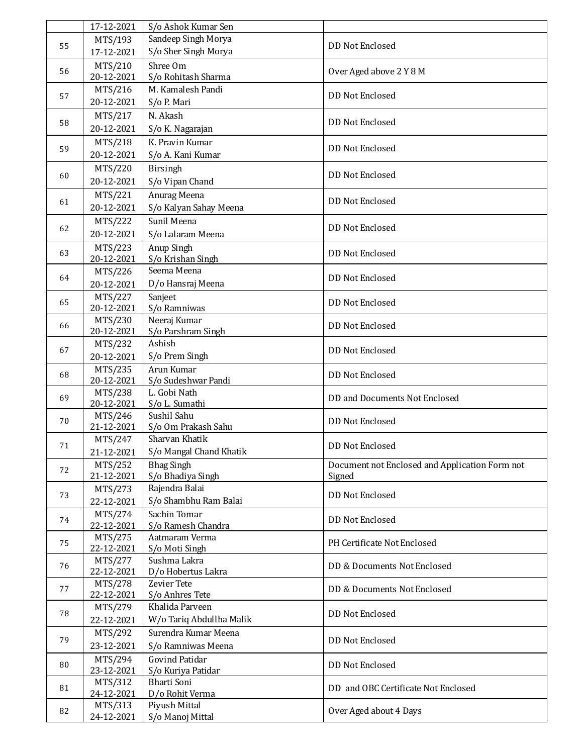|    | 17-12-2021            | S/o Ashok Kumar Sen                |                                                |
|----|-----------------------|------------------------------------|------------------------------------------------|
|    | MTS/193               | Sandeep Singh Morya                |                                                |
| 55 | 17-12-2021            | S/o Sher Singh Morya               | DD Not Enclosed                                |
|    | MTS/210               | Shree Om                           |                                                |
| 56 | 20-12-2021            | S/o Rohitash Sharma                | Over Aged above 2 Y 8 M                        |
|    | MTS/216               | M. Kamalesh Pandi                  | DD Not Enclosed                                |
| 57 | 20-12-2021            | S/o P. Mari                        |                                                |
|    | MTS/217               | N. Akash                           |                                                |
| 58 | 20-12-2021            | S/o K. Nagarajan                   | <b>DD Not Enclosed</b>                         |
|    | MTS/218               | K. Pravin Kumar                    |                                                |
| 59 | 20-12-2021            | S/o A. Kani Kumar                  | <b>DD Not Enclosed</b>                         |
|    | MTS/220               | Birsingh                           |                                                |
| 60 | 20-12-2021            | S/o Vipan Chand                    | <b>DD Not Enclosed</b>                         |
|    | MTS/221               | Anurag Meena                       |                                                |
| 61 | 20-12-2021            | S/o Kalyan Sahay Meena             | DD Not Enclosed                                |
|    | MTS/222               | Sunil Meena                        |                                                |
| 62 | 20-12-2021            | S/o Lalaram Meena                  | <b>DD Not Enclosed</b>                         |
|    | MTS/223               | Anup Singh                         |                                                |
| 63 | 20-12-2021            | S/o Krishan Singh                  | DD Not Enclosed                                |
|    | MTS/226               | Seema Meena                        |                                                |
| 64 | 20-12-2021            | D/o Hansraj Meena                  | <b>DD Not Enclosed</b>                         |
|    | MTS/227               | Sanjeet                            |                                                |
| 65 | 20-12-2021            | S/o Ramniwas                       | DD Not Enclosed                                |
|    | MTS/230               | Neeraj Kumar                       |                                                |
| 66 | 20-12-2021            | S/o Parshram Singh                 | DD Not Enclosed                                |
| 67 | MTS/232               | Ashish                             | DD Not Enclosed                                |
|    | 20-12-2021            | S/o Prem Singh                     |                                                |
| 68 | MTS/235               | Arun Kumar                         | <b>DD Not Enclosed</b>                         |
|    | 20-12-2021            | S/o Sudeshwar Pandi                |                                                |
| 69 | MTS/238               | L. Gobi Nath                       | DD and Documents Not Enclosed                  |
|    | 20-12-2021<br>MTS/246 | S/o L. Sumathi<br>Sushil Sahu      |                                                |
| 70 | 21-12-2021            | S/o Om Prakash Sahu                | <b>DD Not Enclosed</b>                         |
|    | MTS/247               | Sharvan Khatik                     |                                                |
| 71 | 21-12-2021            | S/o Mangal Chand Khatik            | DD Not Enclosed                                |
|    | MTS/252               | <b>Bhag Singh</b>                  | Document not Enclosed and Application Form not |
| 72 | 21-12-2021            | S/o Bhadiya Singh                  | Signed                                         |
|    | MTS/273               | Rajendra Balai                     |                                                |
| 73 | 22-12-2021            | S/o Shambhu Ram Balai              | <b>DD Not Enclosed</b>                         |
| 74 | MTS/274               | Sachin Tomar                       | <b>DD Not Enclosed</b>                         |
|    | 22-12-2021            | S/o Ramesh Chandra                 |                                                |
| 75 | MTS/275               | Aatmaram Verma                     | PH Certificate Not Enclosed                    |
|    | 22-12-2021            | S/o Moti Singh                     |                                                |
| 76 | MTS/277<br>22-12-2021 | Sushma Lakra<br>D/o Hobertus Lakra | DD & Documents Not Enclosed                    |
|    | MTS/278               | <b>Zevier Tete</b>                 |                                                |
| 77 | 22-12-2021            | S/o Anhres Tete                    | DD & Documents Not Enclosed                    |
|    | MTS/279               | Khalida Parveen                    |                                                |
| 78 | 22-12-2021            | W/o Tariq Abdullha Malik           | <b>DD Not Enclosed</b>                         |
|    | MTS/292               | Surendra Kumar Meena               |                                                |
| 79 | 23-12-2021            | S/o Ramniwas Meena                 | <b>DD Not Enclosed</b>                         |
|    | MTS/294               | <b>Govind Patidar</b>              |                                                |
| 80 | 23-12-2021            | S/o Kuriya Patidar                 | <b>DD Not Enclosed</b>                         |
| 81 | MTS/312               | Bharti Soni                        |                                                |
|    | 24-12-2021            | D/o Rohit Verma                    | DD and OBC Certificate Not Enclosed            |
| 82 | MTS/313               | Piyush Mittal                      | Over Aged about 4 Days                         |
|    | 24-12-2021            | S/o Manoj Mittal                   |                                                |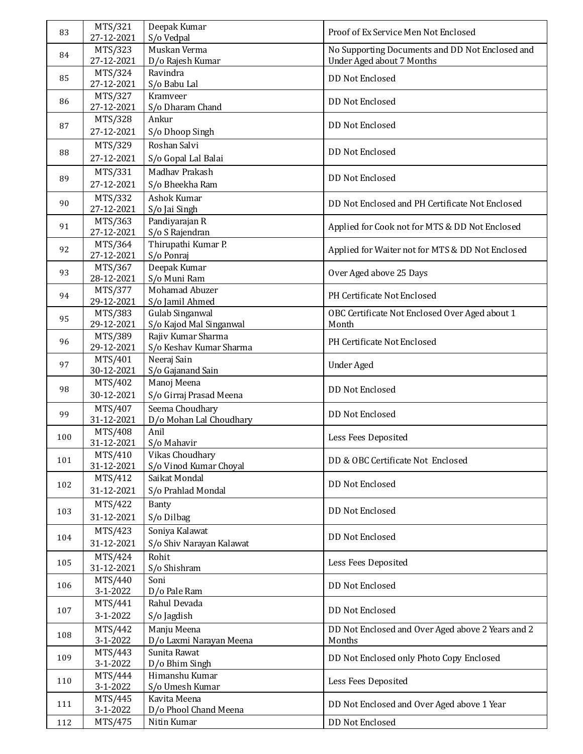| 83  | MTS/321               | Deepak Kumar                                  | Proof of Ex Service Men Not Enclosed              |
|-----|-----------------------|-----------------------------------------------|---------------------------------------------------|
|     | 27-12-2021<br>MTS/323 | S/o Vedpal<br>Muskan Verma                    | No Supporting Documents and DD Not Enclosed and   |
| 84  | 27-12-2021            | D/o Rajesh Kumar                              | Under Aged about 7 Months                         |
|     | MTS/324               | Ravindra                                      |                                                   |
| 85  | 27-12-2021            | S/o Babu Lal                                  | <b>DD Not Enclosed</b>                            |
| 86  | MTS/327               | Kramveer                                      | <b>DD Not Enclosed</b>                            |
|     | 27-12-2021<br>MTS/328 | S/o Dharam Chand<br>Ankur                     |                                                   |
| 87  | 27-12-2021            | S/o Dhoop Singh                               | <b>DD Not Enclosed</b>                            |
|     | MTS/329               | Roshan Salvi                                  |                                                   |
| 88  | 27-12-2021            | S/o Gopal Lal Balai                           | <b>DD Not Enclosed</b>                            |
| 89  | MTS/331               | Madhav Prakash                                | <b>DD Not Enclosed</b>                            |
|     | 27-12-2021            | S/o Bheekha Ram                               |                                                   |
| 90  | MTS/332<br>27-12-2021 | Ashok Kumar                                   | DD Not Enclosed and PH Certificate Not Enclosed   |
|     | MTS/363               | S/o Jai Singh<br>Pandiyarajan R               |                                                   |
| 91  | 27-12-2021            | S/o S Rajendran                               | Applied for Cook not for MTS & DD Not Enclosed    |
| 92  | MTS/364               | Thirupathi Kumar P.                           | Applied for Waiter not for MTS & DD Not Enclosed  |
|     | 27-12-2021            | S/o Ponraj                                    |                                                   |
| 93  | MTS/367<br>28-12-2021 | Deepak Kumar<br>S/o Muni Ram                  | Over Aged above 25 Days                           |
|     | MTS/377               | Mohamad Abuzer                                |                                                   |
| 94  | 29-12-2021            | S/o Jamil Ahmed                               | PH Certificate Not Enclosed                       |
| 95  | MTS/383               | Gulab Singanwal                               | OBC Certificate Not Enclosed Over Aged about 1    |
|     | 29-12-2021<br>MTS/389 | S/o Kajod Mal Singanwal<br>Rajiv Kumar Sharma | Month                                             |
| 96  | 29-12-2021            | S/o Keshav Kumar Sharma                       | PH Certificate Not Enclosed                       |
| 97  | MTS/401               | Neeraj Sain                                   | <b>Under Aged</b>                                 |
|     | 30-12-2021            | S/o Gajanand Sain                             |                                                   |
| 98  | MTS/402<br>30-12-2021 | Manoj Meena<br>S/o Girraj Prasad Meena        | <b>DD Not Enclosed</b>                            |
|     | MTS/407               | Seema Choudhary                               |                                                   |
| 99  | 31-12-2021            | D/o Mohan Lal Choudhary                       | <b>DD Not Enclosed</b>                            |
| 100 | MTS/408               | Anil                                          | Less Fees Deposited                               |
|     | 31-12-2021<br>MTS/410 | S/o Mahavir<br>Vikas Choudhary                |                                                   |
| 101 | 31-12-2021            | S/o Vinod Kumar Choyal                        | DD & OBC Certificate Not Enclosed                 |
| 102 | MTS/412               | Saikat Mondal                                 | <b>DD Not Enclosed</b>                            |
|     | 31-12-2021            | S/o Prahlad Mondal                            |                                                   |
| 103 | MTS/422               | Banty                                         | <b>DD Not Enclosed</b>                            |
|     | 31-12-2021            | S/o Dilbag                                    |                                                   |
| 104 | MTS/423<br>31-12-2021 | Soniya Kalawat<br>S/o Shiv Narayan Kalawat    | <b>DD Not Enclosed</b>                            |
|     | MTS/424               | Rohit                                         |                                                   |
| 105 | 31-12-2021            | S/o Shishram                                  | Less Fees Deposited                               |
| 106 | MTS/440               | Soni                                          | <b>DD Not Enclosed</b>                            |
|     | 3-1-2022<br>MTS/441   | D/o Pale Ram<br>Rahul Devada                  |                                                   |
| 107 | 3-1-2022              | S/o Jagdish                                   | <b>DD Not Enclosed</b>                            |
|     | MTS/442               | Manju Meena                                   | DD Not Enclosed and Over Aged above 2 Years and 2 |
| 108 | 3-1-2022              | D/o Laxmi Narayan Meena                       | Months                                            |
| 109 | MTS/443               | Sunita Rawat                                  | DD Not Enclosed only Photo Copy Enclosed          |
|     | 3-1-2022<br>MTS/444   | D/o Bhim Singh<br>Himanshu Kumar              |                                                   |
| 110 | 3-1-2022              | S/o Umesh Kumar                               | Less Fees Deposited                               |
| 111 | MTS/445               | Kavita Meena                                  | DD Not Enclosed and Over Aged above 1 Year        |
|     | 3-1-2022              | D/o Phool Chand Meena                         |                                                   |
| 112 | MTS/475               | Nitin Kumar                                   | DD Not Enclosed                                   |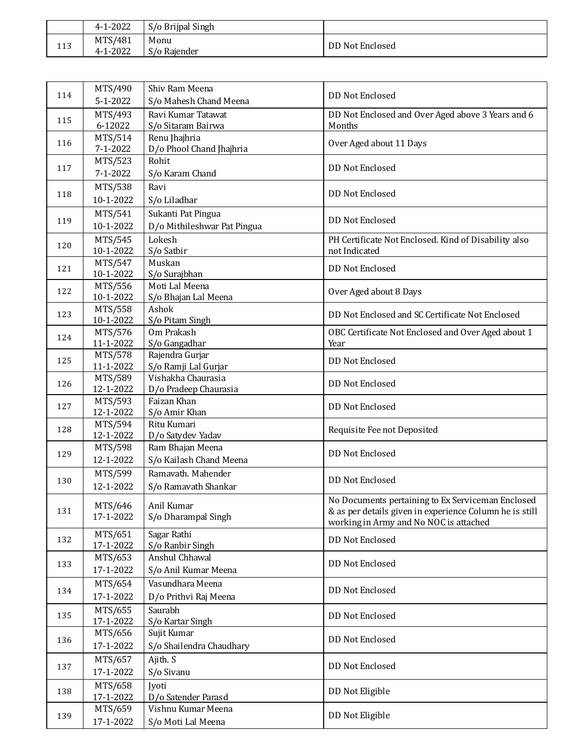|     | 4-1-2022            | S/o Brijpal Singh    |                 |
|-----|---------------------|----------------------|-----------------|
| 113 | MTS/481<br>4-1-2022 | Monu<br>S/o Raiender | DD Not Enclosed |

|     | MTS/490              | Shiv Ram Meena                          |                                                                                                              |
|-----|----------------------|-----------------------------------------|--------------------------------------------------------------------------------------------------------------|
| 114 | 5-1-2022             | S/o Mahesh Chand Meena                  | DD Not Enclosed                                                                                              |
|     | MTS/493              | Ravi Kumar Tatawat                      | DD Not Enclosed and Over Aged above 3 Years and 6                                                            |
| 115 | 6-12022              | S/o Sitaram Bairwa                      | Months                                                                                                       |
| 116 | MTS/514              | Renu Jhajhria                           | Over Aged about 11 Days                                                                                      |
|     | 7-1-2022             | D/o Phool Chand Jhajhria                |                                                                                                              |
| 117 | MTS/523              | Rohit                                   | DD Not Enclosed                                                                                              |
|     | 7-1-2022             | S/o Karam Chand                         |                                                                                                              |
| 118 | MTS/538              | Ravi                                    | <b>DD Not Enclosed</b>                                                                                       |
|     | 10-1-2022            | S/o Liladhar                            |                                                                                                              |
| 119 | MTS/541              | Sukanti Pat Pingua                      | <b>DD Not Enclosed</b>                                                                                       |
|     | 10-1-2022            | D/o Mithileshwar Pat Pingua             |                                                                                                              |
| 120 | MTS/545              | Lokesh                                  | PH Certificate Not Enclosed. Kind of Disability also                                                         |
|     | 10-1-2022            | S/o Satbir<br>Muskan                    | not Indicated                                                                                                |
| 121 | MTS/547<br>10-1-2022 | S/o Surajbhan                           | DD Not Enclosed                                                                                              |
|     | MTS/556              | Moti Lal Meena                          |                                                                                                              |
| 122 | 10-1-2022            | S/o Bhajan Lal Meena                    | Over Aged about 8 Days                                                                                       |
| 123 | MTS/558              | Ashok                                   | DD Not Enclosed and SC Certificate Not Enclosed                                                              |
|     | 10-1-2022            | S/o Pitam Singh                         |                                                                                                              |
| 124 | MTS/576              | Om Prakash                              | OBC Certificate Not Enclosed and Over Aged about 1                                                           |
|     | 11-1-2022            | S/o Gangadhar                           | Year                                                                                                         |
| 125 | MTS/578<br>11-1-2022 | Rajendra Gurjar<br>S/o Ramji Lal Gurjar | <b>DD Not Enclosed</b>                                                                                       |
|     | MTS/589              | Vishakha Chaurasia                      |                                                                                                              |
| 126 | 12-1-2022            | D/o Pradeep Chaurasia                   | DD Not Enclosed                                                                                              |
|     | MTS/593              | Faizan Khan                             |                                                                                                              |
| 127 | 12-1-2022            | S/o Amir Khan                           | <b>DD Not Enclosed</b>                                                                                       |
| 128 | MTS/594              | Ritu Kumari                             | Requisite Fee not Deposited                                                                                  |
|     | 12-1-2022            | D/o Satydev Yadav                       |                                                                                                              |
| 129 | MTS/598              | Ram Bhajan Meena                        | <b>DD Not Enclosed</b>                                                                                       |
|     | 12-1-2022            | S/o Kailash Chand Meena                 |                                                                                                              |
| 130 | MTS/599              | Ramavath. Mahender                      | <b>DD Not Enclosed</b>                                                                                       |
|     | 12-1-2022            | S/o Ramavath Shankar                    |                                                                                                              |
| 131 | MTS/646              | Anil Kumar                              | No Documents pertaining to Ex Serviceman Enclosed<br>& as per details given in experience Column he is still |
|     | 17-1-2022            | S/o Dharampal Singh                     | working in Army and No NOC is attached                                                                       |
|     | MTS/651              | Sagar Rathi                             |                                                                                                              |
| 132 | 17-1-2022            | S/o Ranbir Singh                        | DD Not Enclosed                                                                                              |
| 133 | MTS/653              | Anshul Chhawal                          | DD Not Enclosed                                                                                              |
|     | 17-1-2022            | S/o Anil Kumar Meena                    |                                                                                                              |
| 134 | MTS/654              | Vasundhara Meena                        | <b>DD Not Enclosed</b>                                                                                       |
|     | 17-1-2022            | D/o Prithvi Raj Meena                   |                                                                                                              |
| 135 | MTS/655              | Saurabh                                 | DD Not Enclosed                                                                                              |
|     | 17-1-2022            | S/o Kartar Singh                        |                                                                                                              |
| 136 | MTS/656              | Sujit Kumar                             | DD Not Enclosed                                                                                              |
|     | 17-1-2022            | S/o Shailendra Chaudhary                |                                                                                                              |
| 137 | MTS/657              | Ajith. S                                | DD Not Enclosed                                                                                              |
|     | 17-1-2022            | S/o Sivanu                              |                                                                                                              |
| 138 | MTS/658              | Jyoti                                   | DD Not Eligible                                                                                              |
|     | 17-1-2022            | D/o Satender Parasd                     |                                                                                                              |
| 139 | MTS/659              | Vishnu Kumar Meena                      | DD Not Eligible                                                                                              |
|     | 17-1-2022            | S/o Moti Lal Meena                      |                                                                                                              |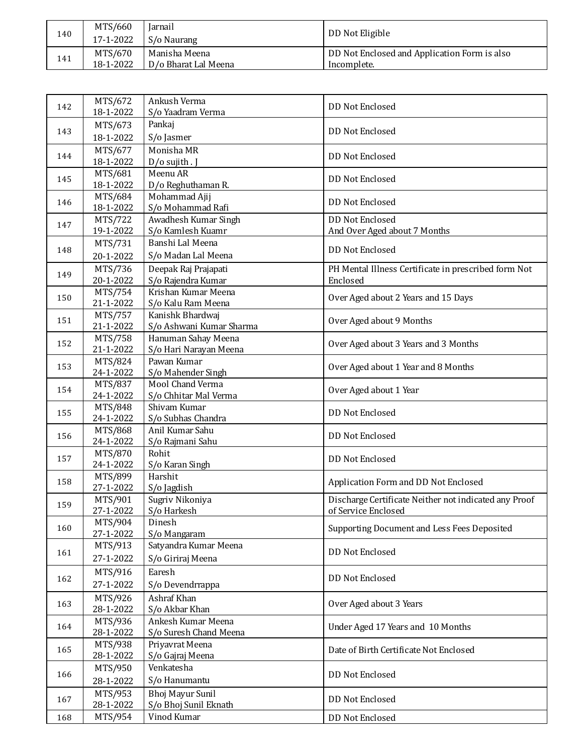| 140 | MTS/660<br>17-1-2022 | <b>Iarnail</b><br>S/o Naurang | DD Not Eligible                              |
|-----|----------------------|-------------------------------|----------------------------------------------|
| 141 | MTS/670              | Manisha Meena                 | DD Not Enclosed and Application Form is also |
|     | 18-1-2022            | D/o Bharat Lal Meena          | Incomplete.                                  |

| 142 | MTS/672<br>18-1-2022 | Ankush Verma<br>S/o Yaadram Verma   | DD Not Enclosed                                       |
|-----|----------------------|-------------------------------------|-------------------------------------------------------|
|     |                      | Pankaj                              |                                                       |
| 143 | MTS/673<br>18-1-2022 | S/o Jasmer                          | <b>DD Not Enclosed</b>                                |
| 144 | MTS/677<br>18-1-2022 | Monisha MR<br>D/o sujith . J        | <b>DD Not Enclosed</b>                                |
| 145 | MTS/681              | Meenu AR                            | DD Not Enclosed                                       |
|     | 18-1-2022            | D/o Reghuthaman R.                  |                                                       |
| 146 | MTS/684<br>18-1-2022 | Mohammad Ajij<br>S/o Mohammad Rafi  | <b>DD Not Enclosed</b>                                |
|     | MTS/722              | Awadhesh Kumar Singh                | <b>DD Not Enclosed</b>                                |
| 147 | 19-1-2022            | S/o Kamlesh Kuamr                   | And Over Aged about 7 Months                          |
|     | MTS/731              | Banshi Lal Meena                    |                                                       |
| 148 | 20-1-2022            | S/o Madan Lal Meena                 | <b>DD Not Enclosed</b>                                |
|     | MTS/736              | Deepak Raj Prajapati                | PH Mental Illness Certificate in prescribed form Not  |
| 149 | 20-1-2022            | S/o Rajendra Kumar                  | Enclosed                                              |
|     | MTS/754              | Krishan Kumar Meena                 |                                                       |
| 150 | 21-1-2022            | S/o Kalu Ram Meena                  | Over Aged about 2 Years and 15 Days                   |
|     | MTS/757              | Kanishk Bhardwaj                    |                                                       |
| 151 | 21-1-2022            | S/o Ashwani Kumar Sharma            | Over Aged about 9 Months                              |
|     | MTS/758              | Hanuman Sahay Meena                 |                                                       |
| 152 | 21-1-2022            | S/o Hari Narayan Meena              | Over Aged about 3 Years and 3 Months                  |
| 153 | MTS/824              | Pawan Kumar                         |                                                       |
|     | 24-1-2022            | S/o Mahender Singh                  | Over Aged about 1 Year and 8 Months                   |
| 154 | MTS/837              | Mool Chand Verma                    | Over Aged about 1 Year                                |
|     | 24-1-2022            | S/o Chhitar Mal Verma               |                                                       |
| 155 | MTS/848              | Shivam Kumar                        | <b>DD Not Enclosed</b>                                |
|     | 24-1-2022            | S/o Subhas Chandra                  |                                                       |
| 156 | MTS/868<br>24-1-2022 | Anil Kumar Sahu<br>S/o Rajmani Sahu | <b>DD Not Enclosed</b>                                |
|     | MTS/870              | Rohit                               |                                                       |
| 157 | 24-1-2022            | S/o Karan Singh                     | <b>DD Not Enclosed</b>                                |
|     | MTS/899              | Harshit                             |                                                       |
| 158 | 27-1-2022            | S/o Jagdish                         | Application Form and DD Not Enclosed                  |
|     | MTS/901              | Sugriv Nikoniya                     | Discharge Certificate Neither not indicated any Proof |
| 159 | 27-1-2022            | S/o Harkesh                         | of Service Enclosed                                   |
| 160 | MTS/904              | Dinesh                              | Supporting Document and Less Fees Deposited           |
|     | 27-1-2022            | S/o Mangaram                        |                                                       |
| 161 | MTS/913              | Satyandra Kumar Meena               | DD Not Enclosed                                       |
|     | 27-1-2022            | S/o Giriraj Meena                   |                                                       |
|     | MTS/916              | Earesh                              |                                                       |
| 162 | 27-1-2022            | S/o Devendrrappa                    | DD Not Enclosed                                       |
|     | MTS/926              | Ashraf Khan                         |                                                       |
| 163 | 28-1-2022            | S/o Akbar Khan                      | Over Aged about 3 Years                               |
|     | MTS/936              | Ankesh Kumar Meena                  |                                                       |
| 164 | 28-1-2022            | S/o Suresh Chand Meena              | Under Aged 17 Years and 10 Months                     |
| 165 | MTS/938              | Priyavrat Meena                     | Date of Birth Certificate Not Enclosed                |
|     | 28-1-2022            | S/o Gajraj Meena                    |                                                       |
|     | MTS/950              | Venkatesha                          |                                                       |
| 166 | 28-1-2022            | S/o Hanumantu                       | DD Not Enclosed                                       |
|     | MTS/953              | Bhoj Mayur Sunil                    |                                                       |
| 167 | 28-1-2022            | S/o Bhoj Sunil Eknath               | DD Not Enclosed                                       |
| 168 | MTS/954              | Vinod Kumar                         | DD Not Enclosed                                       |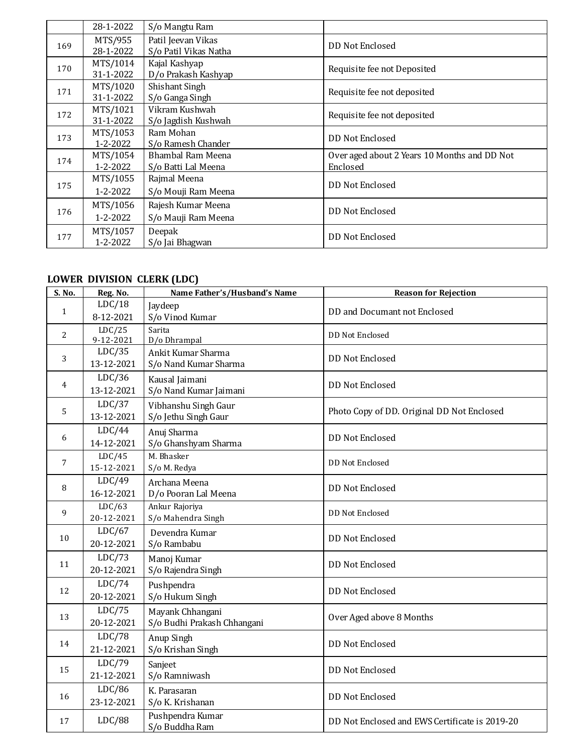|     | 28-1-2022             | S/o Mangtu Ram                              |                                                          |
|-----|-----------------------|---------------------------------------------|----------------------------------------------------------|
| 169 | MTS/955<br>28-1-2022  | Patil Jeevan Vikas<br>S/o Patil Vikas Natha | DD Not Enclosed                                          |
| 170 | MTS/1014<br>31-1-2022 | Kajal Kashyap<br>D/o Prakash Kashyap        | Requisite fee not Deposited                              |
| 171 | MTS/1020<br>31-1-2022 | Shishant Singh<br>S/o Ganga Singh           | Requisite fee not deposited                              |
| 172 | MTS/1021<br>31-1-2022 | Vikram Kushwah<br>S/o Jagdish Kushwah       | Requisite fee not deposited                              |
| 173 | MTS/1053<br>1-2-2022  | Ram Mohan<br>S/o Ramesh Chander             | DD Not Enclosed                                          |
| 174 | MTS/1054<br>1-2-2022  | Bhambal Ram Meena<br>S/o Batti Lal Meena    | Over aged about 2 Years 10 Months and DD Not<br>Enclosed |
| 175 | MTS/1055<br>1-2-2022  | Rajmal Meena<br>S/o Mouji Ram Meena         | DD Not Enclosed                                          |
| 176 | MTS/1056<br>1-2-2022  | Rajesh Kumar Meena<br>S/o Mauji Ram Meena   | DD Not Enclosed                                          |
| 177 | MTS/1057<br>1-2-2022  | Deepak<br>S/o Jai Bhagwan                   | DD Not Enclosed                                          |

# **LOWER DIVISION CLERK (LDC)**

| S. No.         | Reg. No.             | Name Father's/Husband's Name                    | <b>Reason for Rejection</b>                    |
|----------------|----------------------|-------------------------------------------------|------------------------------------------------|
| $\mathbf{1}$   | LDC/18<br>8-12-2021  | Jaydeep<br>S/o Vinod Kumar                      | DD and Documant not Enclosed                   |
| $\overline{2}$ | LDC/25<br>9-12-2021  | Sarita<br>D/o Dhrampal                          | <b>DD Not Enclosed</b>                         |
| 3              | LDC/35<br>13-12-2021 | Ankit Kumar Sharma<br>S/o Nand Kumar Sharma     | <b>DD Not Enclosed</b>                         |
| 4              | LDC/36<br>13-12-2021 | Kausal Jaimani<br>S/o Nand Kumar Jaimani        | <b>DD Not Enclosed</b>                         |
| 5              | LDC/37<br>13-12-2021 | Vibhanshu Singh Gaur<br>S/o Jethu Singh Gaur    | Photo Copy of DD. Original DD Not Enclosed     |
| 6              | LDC/44<br>14-12-2021 | Anuj Sharma<br>S/o Ghanshyam Sharma             | <b>DD Not Enclosed</b>                         |
| 7              | LDC/45<br>15-12-2021 | M. Bhasker<br>S/o M. Redya                      | DD Not Enclosed                                |
| 8              | LDC/49<br>16-12-2021 | Archana Meena<br>D/o Pooran Lal Meena           | <b>DD Not Enclosed</b>                         |
| 9              | LDC/63<br>20-12-2021 | Ankur Rajoriya<br>S/o Mahendra Singh            | DD Not Enclosed                                |
| 10             | LDC/67<br>20-12-2021 | Devendra Kumar<br>S/o Rambabu                   | DD Not Enclosed                                |
| 11             | LDC/73<br>20-12-2021 | Manoj Kumar<br>S/o Rajendra Singh               | <b>DD Not Enclosed</b>                         |
| 12             | LDC/74<br>20-12-2021 | Pushpendra<br>S/o Hukum Singh                   | <b>DD Not Enclosed</b>                         |
| 13             | LDC/75<br>20-12-2021 | Mayank Chhangani<br>S/o Budhi Prakash Chhangani | Over Aged above 8 Months                       |
| 14             | LDC/78<br>21-12-2021 | Anup Singh<br>S/o Krishan Singh                 | <b>DD Not Enclosed</b>                         |
| 15             | LDC/79<br>21-12-2021 | Sanjeet<br>S/o Ramniwash                        | <b>DD Not Enclosed</b>                         |
| 16             | LDC/86<br>23-12-2021 | K. Parasaran<br>S/o K. Krishanan                | <b>DD Not Enclosed</b>                         |
| 17             | LDC/88               | Pushpendra Kumar<br>S/o Buddha Ram              | DD Not Enclosed and EWS Certificate is 2019-20 |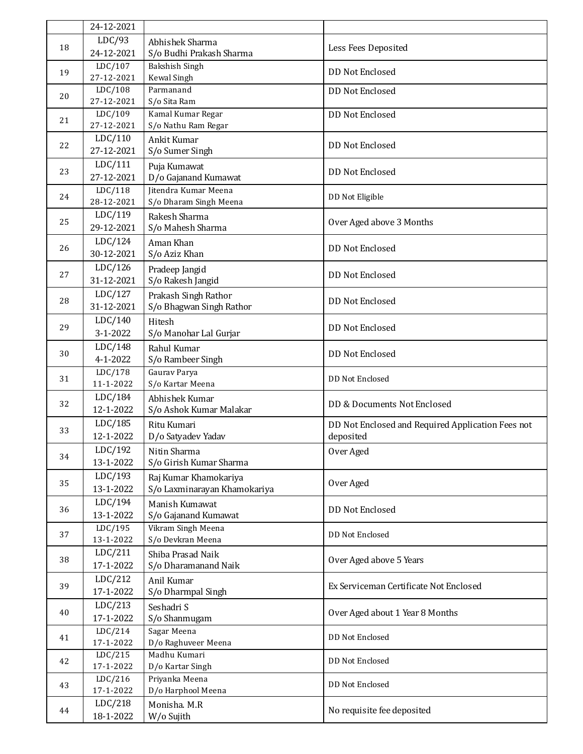|                | 24-12-2021            |                                           |                                                   |
|----------------|-----------------------|-------------------------------------------|---------------------------------------------------|
| 18             | LDC/93                | Abhishek Sharma                           |                                                   |
|                | 24-12-2021            | S/o Budhi Prakash Sharma                  | Less Fees Deposited                               |
| 19             | LDC/107               | Bakshish Singh                            | <b>DD Not Enclosed</b>                            |
|                | 27-12-2021            | Kewal Singh                               |                                                   |
| 20             | LDC/108               | Parmanand                                 | <b>DD Not Enclosed</b>                            |
|                | 27-12-2021<br>LDC/109 | S/o Sita Ram<br>Kamal Kumar Regar         |                                                   |
| 21             | 27-12-2021            | S/o Nathu Ram Regar                       | <b>DD Not Enclosed</b>                            |
|                | LDC/110               | Ankit Kumar                               |                                                   |
| 22             | 27-12-2021            | S/o Sumer Singh                           | <b>DD Not Enclosed</b>                            |
| 23             | LDC/111               | Puja Kumawat                              |                                                   |
|                | 27-12-2021            | D/o Gajanand Kumawat                      | <b>DD Not Enclosed</b>                            |
|                | LDC/118               | Jitendra Kumar Meena                      |                                                   |
| 24             | 28-12-2021            | S/o Dharam Singh Meena                    | DD Not Eligible                                   |
| 25             | LDC/119               | Rakesh Sharma                             | Over Aged above 3 Months                          |
|                | 29-12-2021            | S/o Mahesh Sharma                         |                                                   |
| 26             | LDC/124               | Aman Khan                                 | <b>DD Not Enclosed</b>                            |
|                | 30-12-2021            | S/o Aziz Khan                             |                                                   |
| 27             | LDC/126               | Pradeep Jangid                            | <b>DD Not Enclosed</b>                            |
|                | 31-12-2021            | S/o Rakesh Jangid                         |                                                   |
| 28             | LDC/127               | Prakash Singh Rathor                      | <b>DD Not Enclosed</b>                            |
|                | 31-12-2021            | S/o Bhagwan Singh Rathor                  |                                                   |
| 29             | LDC/140               | Hitesh                                    | <b>DD Not Enclosed</b>                            |
|                | 3-1-2022              | S/o Manohar Lal Gurjar                    |                                                   |
| 30             | LDC/148<br>4-1-2022   | Rahul Kumar<br>S/o Rambeer Singh          | <b>DD Not Enclosed</b>                            |
|                | LDC/178               | Gaurav Parya                              |                                                   |
| 31             | 11-1-2022             | S/o Kartar Meena                          | DD Not Enclosed                                   |
|                | LDC/184               | Abhishek Kumar                            |                                                   |
| 32             | 12-1-2022             | S/o Ashok Kumar Malakar                   | DD & Documents Not Enclosed                       |
|                | LDC/185               | Ritu Kumari                               | DD Not Enclosed and Required Application Fees not |
| 33             | 12-1-2022             | D/o Satyadev Yadav                        | deposited                                         |
|                | LDC/192               | Nitin Sharma                              | Over Aged                                         |
| 34             | 13-1-2022             | S/o Girish Kumar Sharma                   |                                                   |
| 35             | LDC/193               | Raj Kumar Khamokariya                     | Over Aged                                         |
|                | 13-1-2022             | S/o Laxminarayan Khamokariya              |                                                   |
| 36             | LDC/194               | Manish Kumawat                            | <b>DD Not Enclosed</b>                            |
|                | 13-1-2022             | S/o Gajanand Kumawat                      |                                                   |
| 37             | LDC/195               | Vikram Singh Meena                        | DD Not Enclosed                                   |
|                | 13-1-2022<br>LDC/211  | S/o Devkran Meena                         |                                                   |
| 38             | 17-1-2022             | Shiba Prasad Naik<br>S/o Dharamanand Naik | Over Aged above 5 Years                           |
|                | LDC/212               | Anil Kumar                                |                                                   |
| 39             | 17-1-2022             | S/o Dharmpal Singh                        | Ex Serviceman Certificate Not Enclosed            |
| 40             | LDC/213               | Seshadri S                                |                                                   |
|                | 17-1-2022             | S/o Shanmugam                             | Over Aged about 1 Year 8 Months                   |
| 41<br>42<br>43 | LDC/214               | Sagar Meena                               |                                                   |
|                | 17-1-2022             | D/o Raghuveer Meena                       | DD Not Enclosed                                   |
|                | LDC/215               | Madhu Kumari                              | DD Not Enclosed                                   |
|                | 17-1-2022             | D/o Kartar Singh                          |                                                   |
|                | LDC/216<br>17-1-2022  | Priyanka Meena<br>D/o Harphool Meena      | DD Not Enclosed                                   |
|                | LDC/218               |                                           |                                                   |
| 44             | 18-1-2022             | Monisha. M.R.<br>W/o Sujith               | No requisite fee deposited                        |
|                |                       |                                           |                                                   |